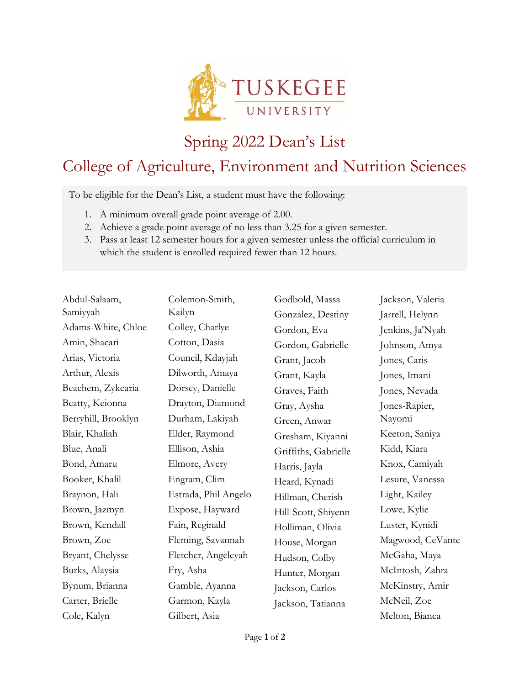

## Spring 2022 Dean's List

## College of Agriculture, Environment and Nutrition Sciences

To be eligible for the Dean's List, a student must have the following:

- 1. A minimum overall grade point average of 2.00.
- 2. Achieve a grade point average of no less than 3.25 for a given semester.
- 3. Pass at least 12 semester hours for a given semester unless the official curriculum in which the student is enrolled required fewer than 12 hours.

| Abdul-Salaam,       | Colemon-Smith,       | Godbold, Massa       | Jackson, Valeria |
|---------------------|----------------------|----------------------|------------------|
| Samiyyah            | Kailyn               | Gonzalez, Destiny    | Jarrell, Helynn  |
| Adams-White, Chloe  | Colley, Charlye      | Gordon, Eva          | Jenkins, Ja'Nyah |
| Amin, Shacari       | Cotton, Dasia        | Gordon, Gabrielle    | Johnson, Amya    |
| Arias, Victoria     | Council, Kdayjah     | Grant, Jacob         | Jones, Caris     |
| Arthur, Alexis      | Dilworth, Amaya      | Grant, Kayla         | Jones, Imani     |
| Beachem, Zykearia   | Dorsey, Danielle     | Graves, Faith        | Jones, Nevada    |
| Beatty, Keionna     | Drayton, Diamond     | Gray, Aysha          | Jones-Rapier,    |
| Berryhill, Brooklyn | Durham, Lakiyah      | Green, Anwar         | Nayomi           |
| Blair, Khaliah      | Elder, Raymond       | Gresham, Kiyanni     | Keeton, Saniya   |
| Blue, Anali         | Ellison, Ashia       | Griffiths, Gabrielle | Kidd, Kiara      |
| Bond, Amaru         | Elmore, Avery        | Harris, Jayla        | Knox, Camiyah    |
| Booker, Khalil      | Engram, Clim         | Heard, Kynadi        | Lesure, Vanessa  |
| Braynon, Hali       | Estrada, Phil Angelo | Hillman, Cherish     | Light, Kailey    |
| Brown, Jazmyn       | Expose, Hayward      | Hill-Scott, Shiyenn  | Lowe, Kylie      |
| Brown, Kendall      | Fain, Reginald       | Holliman, Olivia     | Luster, Kynidi   |
| Brown, Zoe          | Fleming, Savannah    | House, Morgan        | Magwood, CeVante |
| Bryant, Chelysse    | Fletcher, Angeleyah  | Hudson, Colby        | McGaha, Maya     |
| Burks, Alaysia      | Fry, Asha            | Hunter, Morgan       | McIntosh, Zahra  |
| Bynum, Brianna      | Gamble, Ayanna       | Jackson, Carlos      | McKinstry, Amir  |
| Carter, Brielle     | Garmon, Kayla        | Jackson, Tatianna    | McNeil, Zoe      |
| Cole, Kalyn         | Gilbert, Asia        |                      | Melton, Bianca   |